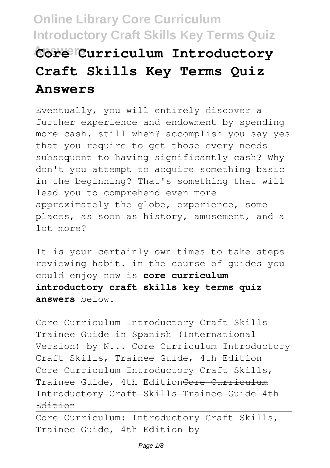# **Online Library Core Curriculum Introductory Craft Skills Key Terms Quiz Answers Core Curriculum Introductory Craft Skills Key Terms Quiz Answers**

Eventually, you will entirely discover a further experience and endowment by spending more cash. still when? accomplish you say yes that you require to get those every needs subsequent to having significantly cash? Why don't you attempt to acquire something basic in the beginning? That's something that will lead you to comprehend even more approximately the globe, experience, some places, as soon as history, amusement, and a lot more?

It is your certainly own times to take steps reviewing habit. in the course of guides you could enjoy now is **core curriculum introductory craft skills key terms quiz answers** below.

Core Curriculum Introductory Craft Skills Trainee Guide in Spanish (International Version) by N... Core Curriculum Introductory Craft Skills, Trainee Guide, 4th Edition Core Curriculum Introductory Craft Skills, Trainee Guide, 4th EditionCore Curriculum Introductory Craft Skills Trainee Guide 4th Edition

Core Curriculum: Introductory Craft Skills, Trainee Guide, 4th Edition by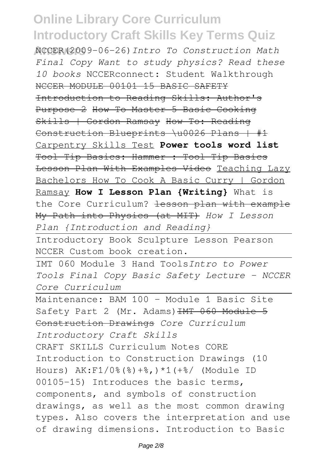**Answers** NCCER(2009-06-26)*Intro To Construction Math Final Copy Want to study physics? Read these 10 books* NCCERconnect: Student Walkthrough NCCER MODULE 00101 15 BASIC SAFETY Introduction to Reading Skills: Author's Purpose 2 How To Master 5 Basic Cooking Skills | Gordon Ramsay How To: Reading Construction Blueprints \u0026 Plans | #1 Carpentry Skills Test **Power tools word list** Tool Tip Basics: Hammer : Tool Tip Basics Lesson Plan With Examples Video Teaching Lazy Bachelors How To Cook A Basic Curry | Gordon Ramsay **How I Lesson Plan {Writing}** What is the Core Curriculum? <del>lesson plan with example</del> My Path into Physics (at MIT) *How I Lesson Plan {Introduction and Reading}*

Introductory Book Sculpture Lesson Pearson NCCER Custom book creation.

IMT 060 Module 3 Hand Tools*Intro to Power Tools Final Copy Basic Safety Lecture - NCCER Core Curriculum*

Maintenance: BAM 100 - Module 1 Basic Site Safety Part 2 (Mr. Adams) HMT 060 Module 5 Construction Drawings *Core Curriculum Introductory Craft Skills* CRAFT SKILLS Curriculum Notes CORE Introduction to Construction Drawings (10 Hours) AK:F1/0%(%)+%,)\*1(+%/ (Module ID 00105-15) Introduces the basic terms, components, and symbols of construction drawings, as well as the most common drawing types. Also covers the interpretation and use of drawing dimensions. Introduction to Basic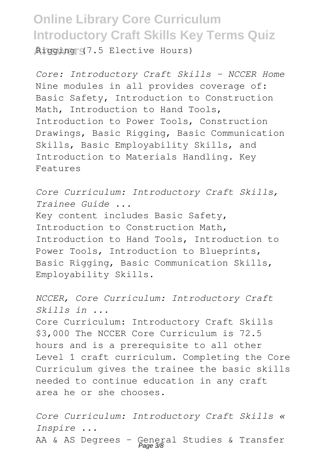**Answers** Rigging (7.5 Elective Hours)

*Core: Introductory Craft Skills - NCCER Home* Nine modules in all provides coverage of: Basic Safety, Introduction to Construction Math, Introduction to Hand Tools, Introduction to Power Tools, Construction Drawings, Basic Rigging, Basic Communication Skills, Basic Employability Skills, and Introduction to Materials Handling. Key Features

*Core Curriculum: Introductory Craft Skills, Trainee Guide ...* Key content includes Basic Safety, Introduction to Construction Math, Introduction to Hand Tools, Introduction to Power Tools, Introduction to Blueprints, Basic Rigging, Basic Communication Skills, Employability Skills.

*NCCER, Core Curriculum: Introductory Craft Skills in ...* Core Curriculum: Introductory Craft Skills \$3,000 The NCCER Core Curriculum is 72.5 hours and is a prerequisite to all other Level 1 craft curriculum. Completing the Core Curriculum gives the trainee the basic skills needed to continue education in any craft area he or she chooses.

*Core Curriculum: Introductory Craft Skills « Inspire ...* AA & AS Degrees - General Studies & Transfer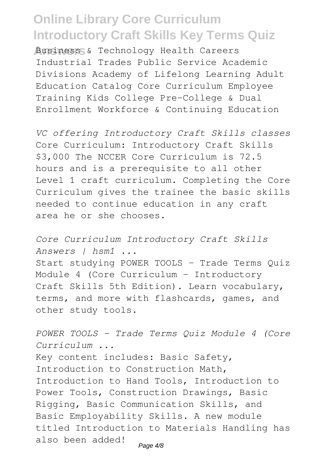**Answers** Business & Technology Health Careers Industrial Trades Public Service Academic Divisions Academy of Lifelong Learning Adult Education Catalog Core Curriculum Employee Training Kids College Pre-College & Dual Enrollment Workforce & Continuing Education

*VC offering Introductory Craft Skills classes* Core Curriculum: Introductory Craft Skills \$3,000 The NCCER Core Curriculum is 72.5 hours and is a prerequisite to all other Level 1 craft curriculum. Completing the Core Curriculum gives the trainee the basic skills needed to continue education in any craft area he or she chooses.

*Core Curriculum Introductory Craft Skills Answers | hsm1 ...* Start studying POWER TOOLS - Trade Terms Quiz Module 4 (Core Curriculum - Introductory Craft Skills 5th Edition). Learn vocabulary, terms, and more with flashcards, games, and other study tools.

*POWER TOOLS - Trade Terms Quiz Module 4 (Core Curriculum ...* Key content includes: Basic Safety, Introduction to Construction Math, Introduction to Hand Tools, Introduction to Power Tools, Construction Drawings, Basic Rigging, Basic Communication Skills, and Basic Employability Skills. A new module titled Introduction to Materials Handling has also been added! Page  $4/8$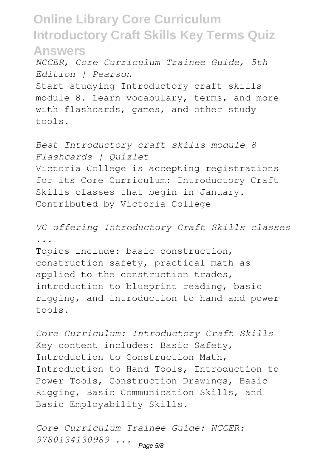*NCCER, Core Curriculum Trainee Guide, 5th Edition | Pearson*

Start studying Introductory craft skills module 8. Learn vocabulary, terms, and more with flashcards, games, and other study tools.

*Best Introductory craft skills module 8 Flashcards | Quizlet* Victoria College is accepting registrations for its Core Curriculum: Introductory Craft Skills classes that begin in January. Contributed by Victoria College

*VC offering Introductory Craft Skills classes ...*

Topics include: basic construction, construction safety, practical math as applied to the construction trades, introduction to blueprint reading, basic rigging, and introduction to hand and power tools.

*Core Curriculum: Introductory Craft Skills* Key content includes: Basic Safety, Introduction to Construction Math, Introduction to Hand Tools, Introduction to Power Tools, Construction Drawings, Basic Rigging, Basic Communication Skills, and Basic Employability Skills.

*Core Curriculum Trainee Guide: NCCER: 9780134130989 ...* Page 5/8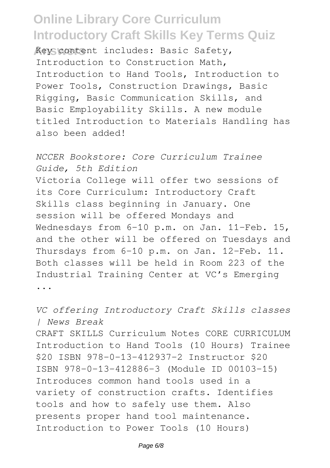**Answers** Key content includes: Basic Safety, Introduction to Construction Math, Introduction to Hand Tools, Introduction to Power Tools, Construction Drawings, Basic Rigging, Basic Communication Skills, and Basic Employability Skills. A new module titled Introduction to Materials Handling has also been added!

*NCCER Bookstore: Core Curriculum Trainee Guide, 5th Edition* Victoria College will offer two sessions of its Core Curriculum: Introductory Craft Skills class beginning in January. One session will be offered Mondays and Wednesdays from 6-10 p.m. on Jan. 11-Feb. 15, and the other will be offered on Tuesdays and Thursdays from 6-10 p.m. on Jan. 12-Feb. 11. Both classes will be held in Room 223 of the Industrial Training Center at VC's Emerging ...

*VC offering Introductory Craft Skills classes | News Break* CRAFT SKILLS Curriculum Notes CORE CURRICULUM Introduction to Hand Tools (10 Hours) Trainee \$20 ISBN 978-0-13-412937-2 Instructor \$20 ISBN 978-0-13-412886-3 (Module ID 00103-15) Introduces common hand tools used in a variety of construction crafts. Identifies tools and how to safely use them. Also presents proper hand tool maintenance. Introduction to Power Tools (10 Hours)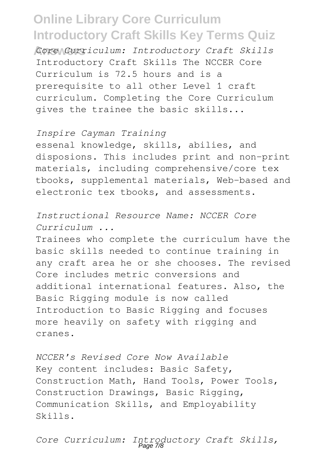**Answers** *Core Curriculum: Introductory Craft Skills* Introductory Craft Skills The NCCER Core Curriculum is 72.5 hours and is a prerequisite to all other Level 1 craft curriculum. Completing the Core Curriculum gives the trainee the basic skills...

#### *Inspire Cayman Training*

essenal knowledge, skills, abilies, and disposions. This includes print and non-print materials, including comprehensive/core tex tbooks, supplemental materials, Web-based and electronic tex tbooks, and assessments.

*Instructional Resource Name: NCCER Core Curriculum ...*

Trainees who complete the curriculum have the basic skills needed to continue training in any craft area he or she chooses. The revised Core includes metric conversions and additional international features. Also, the Basic Rigging module is now called Introduction to Basic Rigging and focuses more heavily on safety with rigging and cranes.

*NCCER's Revised Core Now Available* Key content includes: Basic Safety, Construction Math, Hand Tools, Power Tools, Construction Drawings, Basic Rigging, Communication Skills, and Employability Skills.

*Core Curriculum: Introductory Craft Skills,* Page 7/8